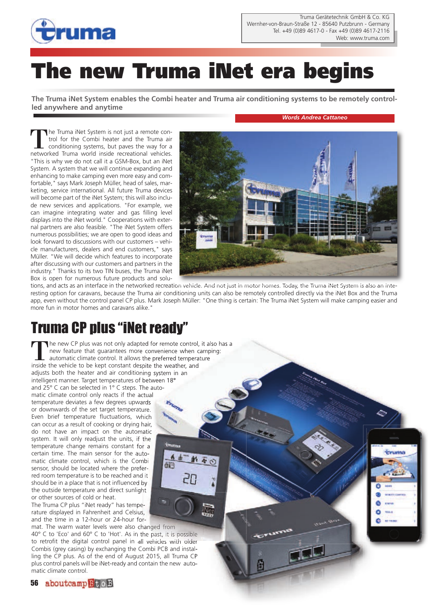

# **The new Truma iNet era begins**

**The Truma iNet System enables the Combi heater and Truma air conditioning systems to be remotely controlled anywhere and anytime**

#### *Words Andrea Cattaneo*

**Carl Landing** 

The Truma iNet System is not just a remote control for the Combi heater and the Truma air conditioning systems, but paves the way for a networked Truma world inside recreational vehicles. "This is why we do not call it a GSM-Box, but an iNet System. A system that we will continue expanding and enhancing to make camping even more easy and comfortable," says Mark Joseph Müller, head of sales, marketing, service international. All future Truma devices will become part of the iNet System; this will also include new services and applications. "For example, we can imagine integrating water and gas filling level displays into the iNet world." Cooperations with external partners are also feasible. "The iNet System offers numerous possibilities; we are open to good ideas and look forward to discussions with our customers – vehicle manufacturers, dealers and end customers," says Müller. "We will decide which features to incorporate after discussing with our customers and partners in the industry." Thanks to its two TIN buses, the Truma iNet Box is open for numerous future products and solu-



tions, and acts as an interface in the networked recreation vehicle. And not just in motor homes. Today, the Truma iNet System is also an interesting option for caravans, because the Truma air conditioning units can also be remotely controlled directly via the iNet Box and the Truma app, even without the control panel CP plus. Mark Joseph Müller: "One thing is certain: The Truma iNet System will make camping easier and more fun in motor homes and caravans alike."

**Net** 

### Truma CP plus "iNet ready"

The new CP plus was not only adapted for remote control, it also has a new feature that guarantees more convenience when camping: automatic climate control. It allows the preferred temperature inside the vehicle to be kept constant despite the weather, and adjusts both the heater and air conditioning system in an intelligent manner. Target temperatures of between 18° and 25° C can be selected in 1° C steps. The automatic climate control only reacts if the actual temperature deviates a few degrees upwards or downwards of the set target temperature. Even brief temperature fluctuations, which can occur as a result of cooking or drying hair, do not have an impact on the automatic system. It will only readjust the units, if the temperature change remains constant for a certain time. The main sensor for the automatic climate control, which is the Combi di<sup>-</sup> sensor, should be located where the preferred room temperature is to be reached and it should be in a place that is not influenced by the outside temperature and direct sunlight or other sources of cold or heat.

The Truma CP plus "iNet ready" has temperature displayed in Fahrenheit and Celsius, and the time in a 12-hour or 24-hour for-

mat. The warm water levels were also changed from 40° C to 'Eco' and 60° C to 'Hot'. As in the past, it is possible to retrofit the digital control panel in all vehicles with older Combis (grey casing) by exchanging the Combi PCB and installing the CP plus. As of the end of August 2015, all Truma CP plus control panels will be iNet-ready and contain the new automatic climate control.